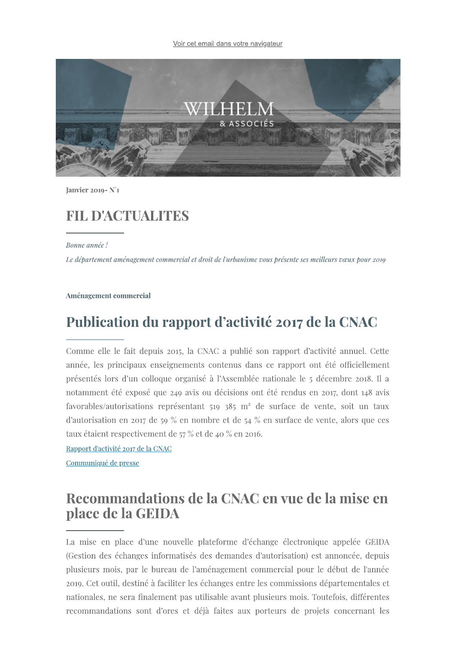

Ianvier 2019- $N^{\circ}$ 1

### **FIL D'ACTUALITES**

Bonne année !

Le département aménagement commercial et droit de l'urbanisme vous présente ses meilleurs vœux pour 2019

Aménagement commercial

### Publication du rapport d'activité 2017 de la CNAC

**FIL D'ACTUALTES**<br>
Bonaconois<br>
des consistents<br>
des des consistents consistents consistents consistents are principle and consistent consistent consistent consistent consistent consistent consistents consistent consistent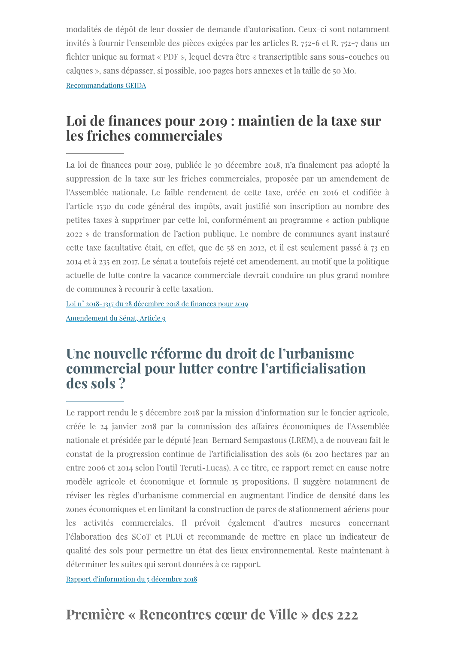modalités de dépôt de leur dossier de demande d'autorisation. Ceux-ci sont notamment invités à fournir l'ensemble des pièces exigées par les articles R. 752-6 et R. 752-7 dans un fichier unique au format « PDF », lequel devra être « transcriptible sans sous-couches ou calques », sans dépasser, si possible, 100 pages hors annexes et la taille de 50 Mo. **Recommandations GEIDA** 

# Loi de finances pour 2019 : maintien de la taxe sur les friches commerciales

La loi de finances pour 2019, publiée le 30 décembre 2018, n'a finalement pas adopté la suppression de la taxe sur les friches commerciales, proposée par un amendement de l'Assemblée nationale. Le faible rendement de cette taxe, créée en 2016 et codifiée à l'article 1530 du code général des impôts, avait justifié son inscription au nombre des petites taxes à supprimer par cette loi, conformément au programme « action publique 2022 » de transformation de l'action publique. Le nombre de communes ayant instauré cette taxe facultative était, en effet, que de 58 en 2012, et il est seulement passé à 73 en 2014 et à 235 en 2017. Le sénat a toutefois rejeté cet amendement, au motif que la politique actuelle de lutte contre la vacance commerciale devrait conduire un plus grand nombre de communes à recourir à cette taxation.

Loi n° 2018-1317 du 28 décembre 2018 de finances pour 2019 Amendement du Sénat, Article 9

### Une nouvelle réforme du droit de l'urbanisme commercial pour lutter contre l'artificialisation des sols?

Le rapport rendu le 5 décembre 2018 par la mission d'information sur le foncier agricole, créée le 24 janvier 2018 par la commission des affaires économiques de l'Assemblée nationale et présidée par le député Jean-Bernard Sempastous (LREM), a de nouveau fait le constat de la progression continue de l'artificialisation des sols (61 200 hectares par an entre 2006 et 2014 selon l'outil Teruti-Lucas). A ce titre, ce rapport remet en cause notre modèle agricole et économique et formule 15 propositions. Il suggère notamment de réviser les règles d'urbanisme commercial en augmentant l'indice de densité dans les zones économiques et en limitant la construction de parcs de stationnement aériens pour les activités commerciales. Il prévoit également d'autres mesures concernant l'élaboration des SCoT et PLUi et recommande de mettre en place un indicateur de qualité des sols pour permettre un état des lieux environnemental. Reste maintenant à déterminer les suites qui seront données à ce rapport.

Rapport d'information du 5 décembre 2018

# Première « Rencontres cœur de Ville » des 222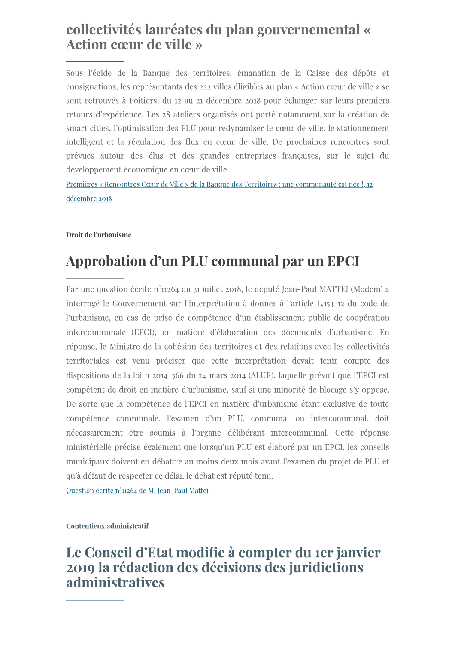# collectivités lauréates du plan gouvernemental « Action cœur de ville »

Sous l'égide de la Banque des territoires, émanation de la Caisse des dépôts et consignations, les représentants des 222 villes éligibles au plan « Action cœur de ville » se sont retrouvés à Poitiers, du 12 au 21 décembre 2018 pour échanger sur leurs premiers retours d'expérience. Les 28 ateliers organisés ont porté notamment sur la création de smart cities, l'optimisation des PLU pour redynamiser le cœur de ville, le stationnement intelligent et la régulation des flux en cœur de ville. De prochaines rencontres sont prévues autour des élus et des grandes entreprises françaises, sur le sujet du développement économique en cœur de ville.

Premières « Rencontres Cœur de Ville » de la Banque des Territoires : une communauté est née !, 12 décembre 2018

### Droit de l'urbanisme

# Approbation d'un PLU communal par un EPCI

Par une question écrite n°11264 du 31 juillet 2018, le député Jean-Paul MATTEI (Modem) a interrogé le Gouvernement sur l'interprétation à donner à l'article L.153-12 du code de l'urbanisme, en cas de prise de compétence d'un établissement public de coopération intercommunale (EPCI), en matière d'élaboration des documents d'urbanisme. En réponse, le Ministre de la cohésion des territoires et des relations avec les collectivités territoriales est venu préciser que cette interprétation devait tenir compte des dispositions de la loi n°2014-366 du 24 mars 2014 (ALUR), laquelle prévoit que l'EPCI est compétent de droit en matière d'urbanisme, sauf si une minorité de blocage s'y oppose. De sorte que la compétence de l'EPCI en matière d'urbanisme étant exclusive de toute compétence communale, l'examen d'un PLU, communal ou intercommunal, doit nécessairement être soumis à l'organe délibérant intercommunal. Cette réponse ministérielle précise également que lorsqu'un PLU est élaboré par un EPCI, les conseils municipaux doivent en débattre au moins deux mois avant l'examen du projet de PLU et qu'à défaut de respecter ce délai, le débat est réputé tenu.

Question écrite n°11264 de M. Jean-Paul Mattei

Contentieux administratif

# Le Conseil d'Etat modifie à compter du 1er janvier 2019 la rédaction des décisions des juridictions administratives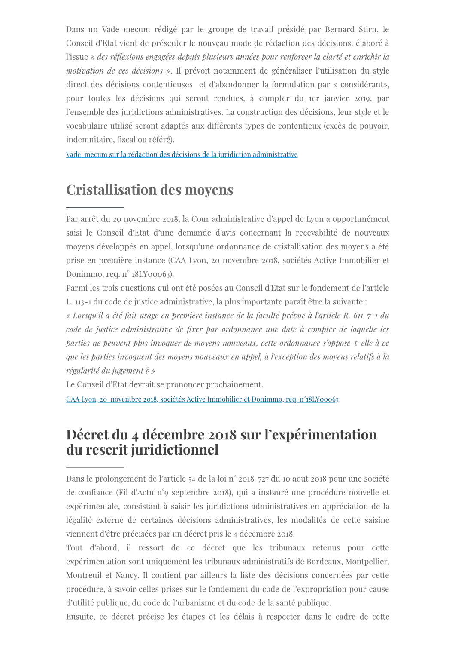Dans un Vade-mecum rédigé par le groupe de travail présidé par Bernard Stirn, le Conseil d'Etat vient de présenter le nouveau mode de rédaction des décisions, élaboré à l'issue « des réflexions engagées depuis plusieurs années pour renforcer la clarté et enrichir la motivation de ces décisions ». Il prévoit notamment de généraliser l'utilisation du style direct des décisions contentieuses et d'abandonner la formulation par « considérant», pour toutes les décisions qui seront rendues, à compter du rer janvier 2019, par l'ensemble des juridictions administratives. La construction des décisions, leur style et le vocabulaire utilisé seront adaptés aux différents types de contentieux (excès de pouvoir, indemnitaire, fiscal ou référé).

Vade-mecum sur la rédaction des décisions de la juridiction administrative

# **Cristallisation des moyens**

Par arrêt du 20 novembre 2018, la Cour administrative d'appel de Lyon a opportunément saisi le Conseil d'Etat d'une demande d'avis concernant la recevabilité de nouveaux moyens développés en appel, lorsqu'une ordonnance de cristallisation des moyens a été prise en première instance (CAA Lyon, 20 novembre 2018, sociétés Active Immobilier et Donimmo, req. n° 18LY00063).

Parmi les trois questions qui ont été posées au Conseil d'Etat sur le fondement de l'article L. 113-1 du code de justice administrative, la plus importante paraît être la suivante :

« Lorsqu'il a été fait usage en première instance de la faculté prévue à l'article R. 611-7-1 du code de justice administrative de fixer par ordonnance une date à compter de laquelle les parties ne peuvent plus invoquer de moyens nouveaux, cette ordonnance s'oppose-t-elle à ce que les parties invoquent des moyens nouveaux en appel, à l'exception des moyens relatifs à la régularité du jugement? »

Le Conseil d'Etat devrait se prononcer prochainement.

CAA Lyon, 20 novembre 2018, sociétés Active Immobilier et Donimmo, req. n°18LY00063

# Décret du 4 décembre 2018 sur l'expérimentation du rescrit juridictionnel

Dans le prolongement de l'article 54 de la loi n° 2018-727 du 10 aout 2018 pour une société de confiance (Fil d'Actu n°9 septembre 2018), qui a instauré une procédure nouvelle et expérimentale, consistant à saisir les juridictions administratives en appréciation de la légalité externe de certaines décisions administratives, les modalités de cette saisine viennent d'être précisées par un décret pris le 4 décembre 2018.

Tout d'abord, il ressort de ce décret que les tribunaux retenus pour cette expérimentation sont uniquement les tribunaux administratifs de Bordeaux, Montpellier, Montreuil et Nancy. Il contient par ailleurs la liste des décisions concernées par cette procédure, à savoir celles prises sur le fondement du code de l'expropriation pour cause d'utilité publique, du code de l'urbanisme et du code de la santé publique.

Ensuite, ce décret précise les étapes et les délais à respecter dans le cadre de cette